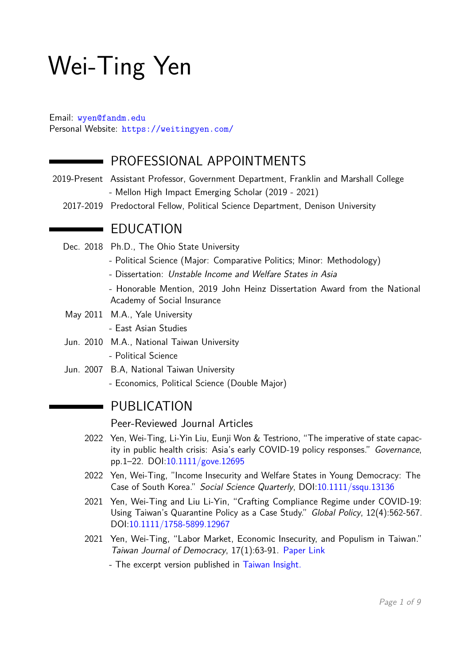# Wei-Ting Yen

Email: [wyen@fandm.edu](mailto:wyen@fandm.edu) Personal Website: <https://weitingyen.com/>

# PROFESSIONAL APPOINTMENTS

- 2019-Present Assistant Professor, Government Department, Franklin and Marshall College - Mellon High Impact Emerging Scholar (2019 - 2021)
	- 2017-2019 Predoctoral Fellow, Political Science Department, Denison University

## $\blacksquare$  FDUCATION

- Dec. 2018 Ph.D., The Ohio State University
	- Political Science (Major: Comparative Politics; Minor: Methodology)
	- Dissertation: Unstable Income and Welfare States in Asia
	- Honorable Mention, 2019 John Heinz Dissertation Award from the National Academy of Social Insurance
- May 2011 M.A., Yale University

 $\overline{\phantom{0}}$ 

- East Asian Studies
- Jun. 2010 M.A., National Taiwan University
	- Political Science
- Jun. 2007 B.A, National Taiwan University
	- Economics, Political Science (Double Major)

## PUBLICATION

#### Peer-Reviewed Journal Articles

- 2022 Yen, Wei-Ting, Li-Yin Liu, Eunji Won & Testriono, "The imperative of state capacity in public health crisis: Asia's early COVID-19 policy responses." Governance, pp.1–22. DOI[:10.1111/gove.12695](http://dx.doi.org/10.1111/gove.12695)
- 2022 Yen, Wei-Ting, "Income Insecurity and Welfare States in Young Democracy: The Case of South Korea." Social Science Quarterly, DOI[:10.1111/ssqu.13136](http://dx.doi.org/10.1111/ssqu.13136)
- 2021 Yen, Wei-Ting and Liu Li-Yin, "Crafting Compliance Regime under COVID-19: Using Taiwan's Quarantine Policy as a Case Study." Global Policy, 12(4):562-567. DOI[:10.1111/1758-5899.12967](http://dx.doi.org/10.1111/1758-5899.12967)
- 2021 Yen, Wei-Ting, "Labor Market, Economic Insecurity, and Populism in Taiwan." Taiwan Journal of Democracy, 17(1):63-91. [Paper Link](http://www.tfd.org.tw/export/sites/tfd/files/publication/journal/161-190-Labor-Market-Economic-Insecurity-and-Populism-in-Taiwanpdf.pdf)
	- The excerpt version published in [Taiwan Insight.](https://taiwaninsight.org/2021/01/06/the-labor-market-economic-insecurity-and-populism-in-taiwan/)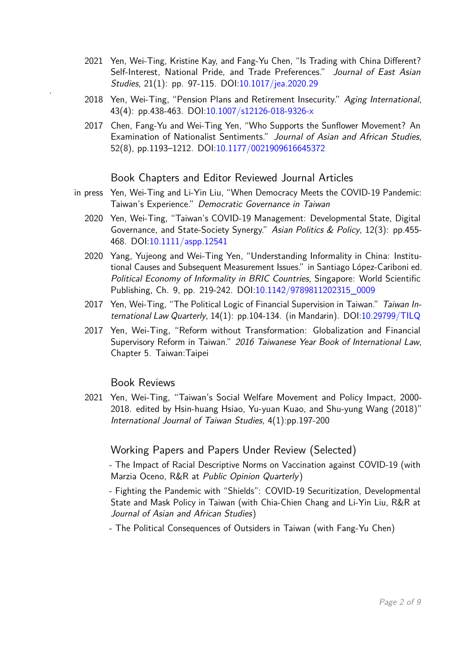- 2021 Yen, Wei-Ting, Kristine Kay, and Fang-Yu Chen, "Is Trading with China Different? Self-Interest, National Pride, and Trade Preferences." Journal of East Asian Studies, 21(1): pp. 97-115. DOI[:10.1017/jea.2020.29](http://dx.doi.org/10.1017/jea.2020.29)
- 2018 Yen, Wei-Ting, "Pension Plans and Retirement Insecurity." Aging International, 43(4): pp.438-463. DOI[:10.1007/s12126-018-9326-x](http://dx.doi.org/10.1007/s12126-018-9326-x)
- 2017 Chen, Fang-Yu and Wei-Ting Yen, "Who Supports the Sunflower Movement? An Examination of Nationalist Sentiments." Journal of Asian and African Studies, 52(8), pp.1193–1212. DOI[:10.1177/0021909616645372](http://dx.doi.org/10.1177/0021909616645372)

Book Chapters and Editor Reviewed Journal Articles

- in press Yen, Wei-Ting and Li-Yin Liu, "When Democracy Meets the COVID-19 Pandemic: Taiwan's Experience." Democratic Governance in Taiwan
	- 2020 Yen, Wei-Ting, "Taiwan's COVID-19 Management: Developmental State, Digital Governance, and State-Society Synergy." Asian Politics & Policy, 12(3): pp.455- 468. DOI[:10.1111/aspp.12541](http://dx.doi.org/10.1111/aspp.12541)
	- 2020 Yang, Yujeong and Wei-Ting Yen, "Understanding Informality in China: Institutional Causes and Subsequent Measurement Issues." in Santiago López-Cariboni ed. Political Economy of Informality in BRIC Countries, Singapore: World Scientific Publishing, Ch. 9, pp. 219-242. DOI[:10.1142/9789811202315\\_0009](http://dx.doi.org/10.1142/9789811202315_0009)
	- 2017 Yen, Wei-Ting, "The Political Logic of Financial Supervision in Taiwan." Taiwan International Law Quarterly, 14(1): pp.104-134. (in Mandarin). DOI[:10.29799/TILQ](http://dx.doi.org/10.29799/TILQ)
	- 2017 Yen, Wei-Ting, "Reform without Transformation: Globalization and Financial Supervisory Reform in Taiwan." 2016 Taiwanese Year Book of International Law, Chapter 5. Taiwan:Taipei

#### Book Reviews

.

2021 Yen, Wei-Ting, "Taiwan's Social Welfare Movement and Policy Impact, 2000- 2018. edited by Hsin-huang Hsiao, Yu-yuan Kuao, and Shu-yung Wang (2018)" International Journal of Taiwan Studies, 4(1):pp.197-200

#### Working Papers and Papers Under Review (Selected)

- The Impact of Racial Descriptive Norms on Vaccination against COVID-19 (with Marzia Oceno, R&R at Public Opinion Quarterly )
- Fighting the Pandemic with "Shields": COVID-19 Securitization, Developmental State and Mask Policy in Taiwan (with Chia-Chien Chang and Li-Yin Liu, R&R at Journal of Asian and African Studies)
- The Political Consequences of Outsiders in Taiwan (with Fang-Yu Chen)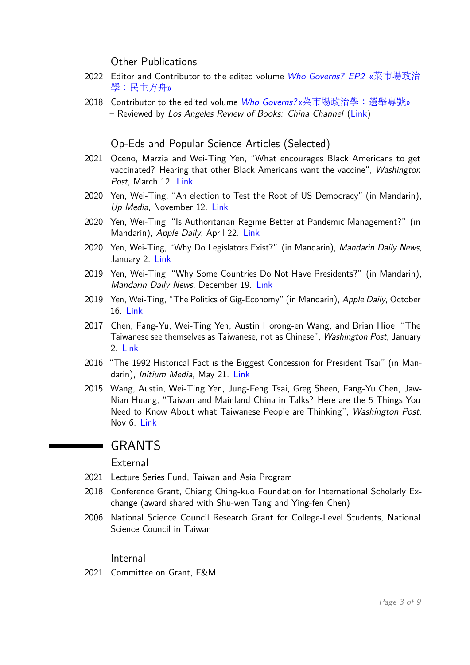#### Other Publications

- 2022 Editor and Contributor to the edited volume [Who Governs? EP2](https://www.books.com.tw/products/0010917483) «菜市場政治 [學](https://www.books.com.tw/products/0010917483):民主方舟»
- 2018 Contributor to the edited volume *[Who Governs?](https://www.books.com.tw/products/0010797101?loc=P_002_020)*«菜市場政治學:選舉專號» – Reviewed by Los Angeles Review of Books: China Channel [\(Link\)](https://chinachannel.org/2019/08/05/who-governs/)

Op-Eds and Popular Science Articles (Selected)

- 2021 Oceno, Marzia and Wei-Ting Yen, "What encourages Black Americans to get vaccinated? Hearing that other Black Americans want the vaccine", Washington Post, March 12. [Link](https://www.washingtonpost.com/politics/2021/03/12/what-encourages-black-americans-get-vaccinated-hearing-that-other-black-americans-want-vaccine/)
- 2020 Yen, Wei-Ting, "An election to Test the Root of US Democracy" (in Mandarin), Up Media, November 12. [Link](https://www.upmedia.mg/news_info.php?SerialNo=99918)
- 2020 Yen, Wei-Ting, "Is Authoritarian Regime Better at Pandemic Management?" (in Mandarin), Apple Daily, April 22. [Link](https://tw.appledaily.com/forum/20200422/4GOK7L52EPKJRCP4X3L3UWFZTY/)
- 2020 Yen, Wei-Ting, "Why Do Legislators Exist?" (in Mandarin), Mandarin Daily News, January 2. [Link](https://weitingyen1.files.wordpress.com/2020/05/e782bae4bb80e9babce99c80e8a681e69c89e7ab8be6b395e5a794e593a1.jpg)
- 2019 Yen, Wei-Ting, "Why Some Countries Do Not Have Presidents?" (in Mandarin), Mandarin Daily News, December 19. [Link](https://weitingyen1.files.wordpress.com/2020/05/e782bae4bb80e9babce69c89e4ba9be59c8be5aeb6e6b292e69c89e7b8bde7b5b1.jpg)
- 2019 Yen, Wei-Ting, "The Politics of Gig-Economy" (in Mandarin), Apple Daily, October 16. [Link](https://tw.appledaily.com/forum/20191016/LTQFZNI3NNLOC5KQZRWDF42I5E/)
- 2017 Chen, Fang-Yu, Wei-Ting Yen, Austin Horong-en Wang, and Brian Hioe, "The Taiwanese see themselves as Taiwanese, not as Chinese", Washington Post, January 2. [Link](https://www.washingtonpost.com/news/monkey-cage/wp/2017/01/02/yes-taiwan-wants-one-china-but-which-china-does-it-want/##comments)
- 2016 "The 1992 Historical Fact is the Biggest Concession for President Tsai" (in Mandarin), Initium Media, May 21. [Link](https://theinitium.com/article/20160521-opinion-yenweiting-520/)
- 2015 Wang, Austin, Wei-Ting Yen, Jung-Feng Tsai, Greg Sheen, Fang-Yu Chen, Jaw-Nian Huang, "Taiwan and Mainland China in Talks? Here are the 5 Things You Need to Know About what Taiwanese People are Thinking", Washington Post, Nov 6. [Link](https://www.washingtonpost.com/news/monkey-cage/wp/2015/11/06/taiwan-and-mainland-china-in-talks-here-are-the-5-things-you-need-to-know-about-what-taiwanese-people-are-thinking/)

#### GRANTS

 $\overline{\phantom{0}}$ 

External

- 2021 Lecture Series Fund, Taiwan and Asia Program
- 2018 Conference Grant, Chiang Ching-kuo Foundation for International Scholarly Exchange (award shared with Shu-wen Tang and Ying-fen Chen)
- 2006 National Science Council Research Grant for College-Level Students, National Science Council in Taiwan

#### Internal

2021 Committee on Grant, F&M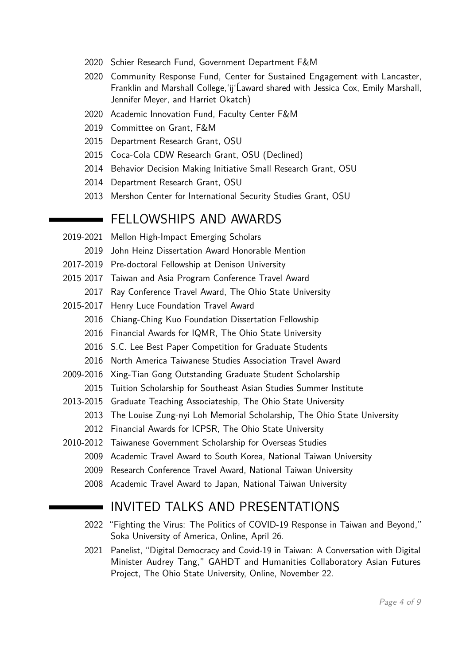- Schier Research Fund, Government Department F&M
- Community Response Fund, Center for Sustained Engagement with Lancaster, Franklin and Marshall College,'ij'Ĺaward shared with Jessica Cox, Emily Marshall, Jennifer Meyer, and Harriet Okatch)
- Academic Innovation Fund, Faculty Center F&M
- Committee on Grant, F&M
- Department Research Grant, OSU
- Coca-Cola CDW Research Grant, OSU (Declined)
- Behavior Decision Making Initiative Small Research Grant, OSU
- Department Research Grant, OSU
- Mershon Center for International Security Studies Grant, OSU

## FELLOWSHIPS AND AWARDS

- 2019-2021 Mellon High-Impact Emerging Scholars John Heinz Dissertation Award Honorable Mention 2017-2019 Pre-doctoral Fellowship at Denison University 2015 2017 Taiwan and Asia Program Conference Travel Award Ray Conference Travel Award, The Ohio State University 2015-2017 Henry Luce Foundation Travel Award Chiang-Ching Kuo Foundation Dissertation Fellowship Financial Awards for IQMR, The Ohio State University S.C. Lee Best Paper Competition for Graduate Students North America Taiwanese Studies Association Travel Award 2009-2016 Xing-Tian Gong Outstanding Graduate Student Scholarship Tuition Scholarship for Southeast Asian Studies Summer Institute 2013-2015 Graduate Teaching Associateship, The Ohio State University The Louise Zung-nyi Loh Memorial Scholarship, The Ohio State University Financial Awards for ICPSR, The Ohio State University 2010-2012 Taiwanese Government Scholarship for Overseas Studies Academic Travel Award to South Korea, National Taiwan University Research Conference Travel Award, National Taiwan University
	- Academic Travel Award to Japan, National Taiwan University

# INVITED TALKS AND PRESENTATIONS

- "Fighting the Virus: The Politics of COVID-19 Response in Taiwan and Beyond," Soka University of America, Online, April 26.
- Panelist, "Digital Democracy and Covid-19 in Taiwan: A Conversation with Digital Minister Audrey Tang," GAHDT and Humanities Collaboratory Asian Futures Project, The Ohio State University, Online, November 22.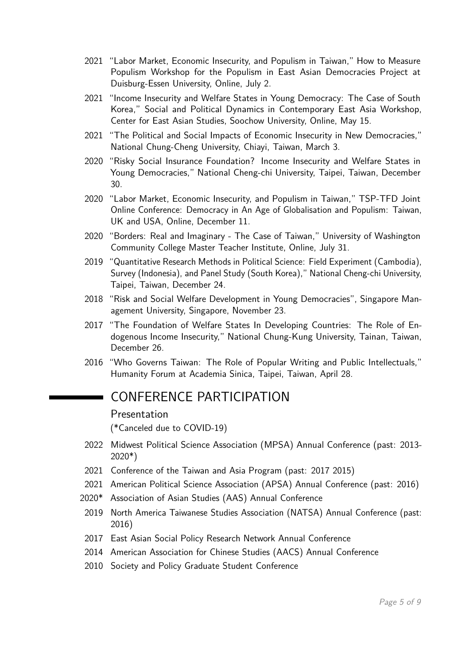- 2021 "Labor Market, Economic Insecurity, and Populism in Taiwan," How to Measure Populism Workshop for the Populism in East Asian Democracies Project at Duisburg-Essen University, Online, July 2.
- 2021 "Income Insecurity and Welfare States in Young Democracy: The Case of South Korea," Social and Political Dynamics in Contemporary East Asia Workshop, Center for East Asian Studies, Soochow University, Online, May 15.
- 2021 "The Political and Social Impacts of Economic Insecurity in New Democracies," National Chung-Cheng University, Chiayi, Taiwan, March 3.
- 2020 "Risky Social Insurance Foundation? Income Insecurity and Welfare States in Young Democracies," National Cheng-chi University, Taipei, Taiwan, December 30.
- 2020 "Labor Market, Economic Insecurity, and Populism in Taiwan," TSP-TFD Joint Online Conference: Democracy in An Age of Globalisation and Populism: Taiwan, UK and USA, Online, December 11.
- 2020 "Borders: Real and Imaginary The Case of Taiwan," University of Washington Community College Master Teacher Institute, Online, July 31.
- 2019 "Quantitative Research Methods in Political Science: Field Experiment (Cambodia), Survey (Indonesia), and Panel Study (South Korea)," National Cheng-chi University, Taipei, Taiwan, December 24.
- 2018 "Risk and Social Welfare Development in Young Democracies", Singapore Management University, Singapore, November 23.
- 2017 "The Foundation of Welfare States In Developing Countries: The Role of Endogenous Income Insecurity," National Chung-Kung University, Tainan, Taiwan, December 26.
- 2016 "Who Governs Taiwan: The Role of Popular Writing and Public Intellectuals," Humanity Forum at Academia Sinica, Taipei, Taiwan, April 28.

## CONFERENCE PARTICIPATION

#### Presentation

(\*Canceled due to COVID-19)

- 2022 Midwest Political Science Association (MPSA) Annual Conference (past: 2013- 2020\*)
- 2021 Conference of the Taiwan and Asia Program (past: 2017 2015)
- 2021 American Political Science Association (APSA) Annual Conference (past: 2016)
- 2020\* Association of Asian Studies (AAS) Annual Conference
- 2019 North America Taiwanese Studies Association (NATSA) Annual Conference (past: 2016)
- 2017 East Asian Social Policy Research Network Annual Conference
- 2014 American Association for Chinese Studies (AACS) Annual Conference
- 2010 Society and Policy Graduate Student Conference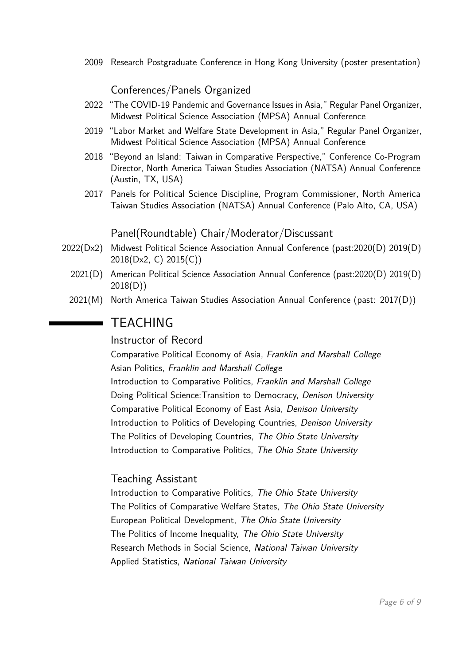2009 Research Postgraduate Conference in Hong Kong University (poster presentation)

Conferences/Panels Organized

- 2022 "The COVID-19 Pandemic and Governance Issues in Asia," Regular Panel Organizer, Midwest Political Science Association (MPSA) Annual Conference
- 2019 "Labor Market and Welfare State Development in Asia," Regular Panel Organizer, Midwest Political Science Association (MPSA) Annual Conference
- 2018 "Beyond an Island: Taiwan in Comparative Perspective," Conference Co-Program Director, North America Taiwan Studies Association (NATSA) Annual Conference (Austin, TX, USA)
- 2017 Panels for Political Science Discipline, Program Commissioner, North America Taiwan Studies Association (NATSA) Annual Conference (Palo Alto, CA, USA)

Panel(Roundtable) Chair/Moderator/Discussant

- 2022(Dx2) Midwest Political Science Association Annual Conference (past:2020(D) 2019(D) 2018(Dx2, C) 2015(C))
	- 2021(D) American Political Science Association Annual Conference (past:2020(D) 2019(D) 2018(D))
	- 2021(M) North America Taiwan Studies Association Annual Conference (past: 2017(D))

## TEACHING

 $\blacksquare$ 

Instructor of Record

Comparative Political Economy of Asia, Franklin and Marshall College Asian Politics, Franklin and Marshall College Introduction to Comparative Politics, Franklin and Marshall College Doing Political Science:Transition to Democracy, Denison University Comparative Political Economy of East Asia, Denison University Introduction to Politics of Developing Countries, Denison University The Politics of Developing Countries, The Ohio State University Introduction to Comparative Politics, The Ohio State University

#### Teaching Assistant

Introduction to Comparative Politics, The Ohio State University The Politics of Comparative Welfare States, The Ohio State University European Political Development, The Ohio State University The Politics of Income Inequality, The Ohio State University Research Methods in Social Science, National Taiwan University Applied Statistics, National Taiwan University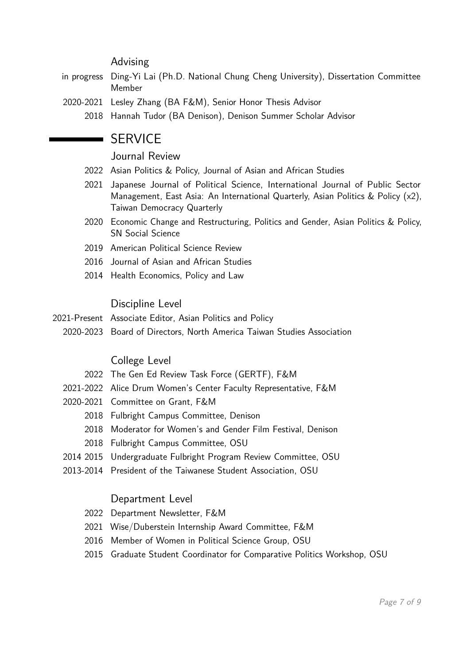#### Advising

- in progress Ding-Yi Lai (Ph.D. National Chung Cheng University), Dissertation Committee Member
- 2020-2021 Lesley Zhang (BA F&M), Senior Honor Thesis Advisor
	- 2018 Hannah Tudor (BA Denison), Denison Summer Scholar Advisor

## SERVICE

#### Journal Review

- 2022 Asian Politics & Policy, Journal of Asian and African Studies
- 2021 Japanese Journal of Political Science, International Journal of Public Sector Management, East Asia: An International Quarterly, Asian Politics & Policy (x2), Taiwan Democracy Quarterly
- 2020 Economic Change and Restructuring, Politics and Gender, Asian Politics & Policy, SN Social Science
- 2019 American Political Science Review
- 2016 Journal of Asian and African Studies
- 2014 Health Economics, Policy and Law

#### Discipline Level

- 2021-Present Associate Editor, Asian Politics and Policy
- 2020-2023 Board of Directors, North America Taiwan Studies Association

#### College Level

- 2022 The Gen Ed Review Task Force (GERTF), F&M
- 2021-2022 Alice Drum Women's Center Faculty Representative, F&M
- 2020-2021 Committee on Grant, F&M
	- 2018 Fulbright Campus Committee, Denison
	- 2018 Moderator for Women's and Gender Film Festival, Denison
	- 2018 Fulbright Campus Committee, OSU
- 2014 2015 Undergraduate Fulbright Program Review Committee, OSU
- 2013-2014 President of the Taiwanese Student Association, OSU

#### Department Level

- 2022 Department Newsletter, F&M
- 2021 Wise/Duberstein Internship Award Committee, F&M
- 2016 Member of Women in Political Science Group, OSU
- 2015 Graduate Student Coordinator for Comparative Politics Workshop, OSU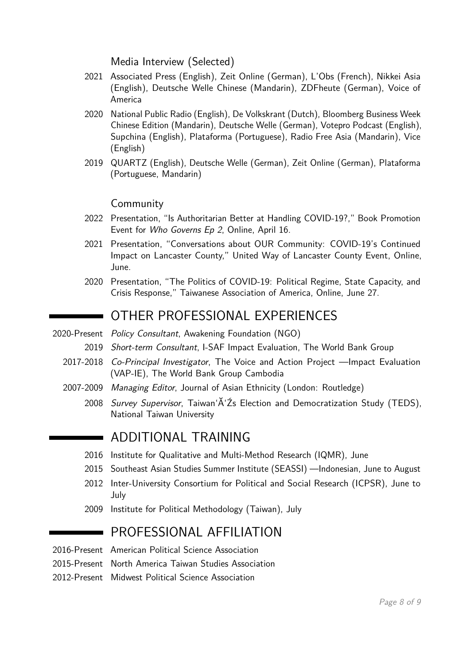Media Interview (Selected)

- 2021 Associated Press (English), Zeit Online (German), L'Obs (French), Nikkei Asia (English), Deutsche Welle Chinese (Mandarin), ZDFheute (German), Voice of America
- 2020 National Public Radio (English), De Volkskrant (Dutch), Bloomberg Business Week Chinese Edition (Mandarin), Deutsche Welle (German), Votepro Podcast (English), Supchina (English), Plataforma (Portuguese), Radio Free Asia (Mandarin), Vice (English)
- 2019 QUARTZ (English), Deutsche Welle (German), Zeit Online (German), Plataforma (Portuguese, Mandarin)

#### Community

- 2022 Presentation, "Is Authoritarian Better at Handling COVID-19?," Book Promotion Event for Who Governs Ep 2, Online, April 16.
- 2021 Presentation, "Conversations about OUR Community: COVID-19's Continued Impact on Lancaster County," United Way of Lancaster County Event, Online, June.
- 2020 Presentation, "The Politics of COVID-19: Political Regime, State Capacity, and Crisis Response," Taiwanese Association of America, Online, June 27.

## OTHER PROFESSIONAL EXPERIENCES

- 2020-Present Policy Consultant, Awakening Foundation (NGO)
	- 2019 Short-term Consultant, I-SAF Impact Evaluation, The World Bank Group
	- 2017-2018 Co-Principal Investigator, The Voice and Action Project Impact Evaluation (VAP-IE), The World Bank Group Cambodia
	- 2007-2009 Managing Editor, Journal of Asian Ethnicity (London: Routledge)
		- 2008 Survey Supervisor, Taiwan'A'Zs Election and Democratization Study (TEDS). National Taiwan University

## ADDITIONAL TRAINING

- 2016 Institute for Qualitative and Multi-Method Research (IQMR), June
- 2015 Southeast Asian Studies Summer Institute (SEASSI) —Indonesian, June to August
- 2012 Inter-University Consortium for Political and Social Research (ICPSR), June to July
- 2009 Institute for Political Methodology (Taiwan), July

## PROFESSIONAL AFFILIATION

- 2016-Present American Political Science Association
- 2015-Present North America Taiwan Studies Association
- 2012-Present Midwest Political Science Association